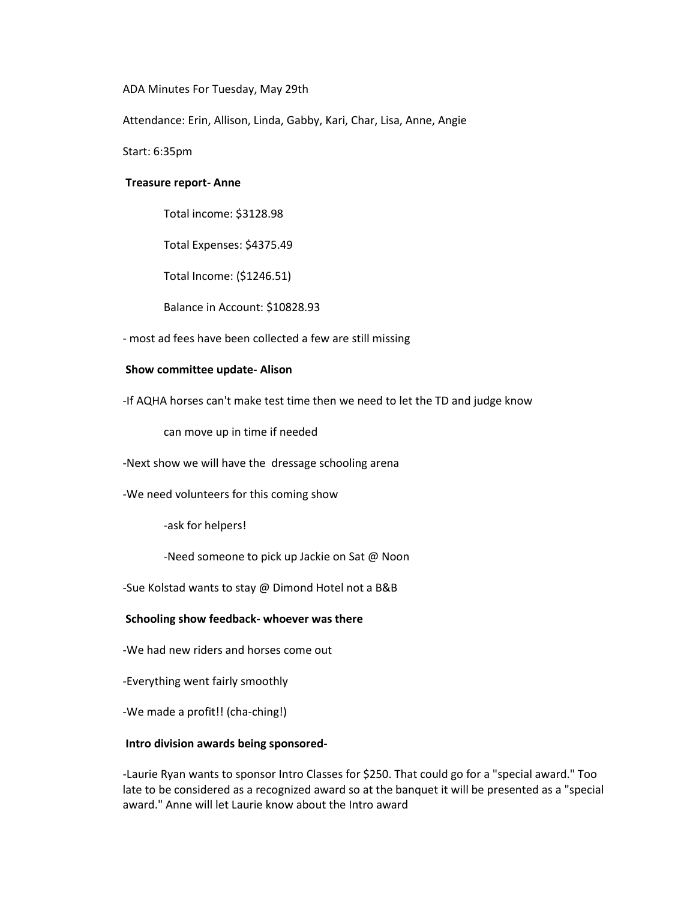ADA Minutes For Tuesday, May 29th

Attendance: Erin, Allison, Linda, Gabby, Kari, Char, Lisa, Anne, Angie

Start: 6:35pm

## **Treasure report- Anne**

Total income: \$3128.98

Total Expenses: \$4375.49

Total Income: (\$1246.51)

Balance in Account: \$10828.93

- most ad fees have been collected a few are still missing

# **Show committee update- Alison**

-If AQHA horses can't make test time then we need to let the TD and judge know

can move up in time if needed

-Next show we will have the dressage schooling arena

-We need volunteers for this coming show

-ask for helpers!

-Need someone to pick up Jackie on Sat @ Noon

-Sue Kolstad wants to stay @ Dimond Hotel not a B&B

#### **Schooling show feedback- whoever was there**

-We had new riders and horses come out

-Everything went fairly smoothly

-We made a profit!! (cha-ching!)

#### **Intro division awards being sponsored-**

-Laurie Ryan wants to sponsor Intro Classes for \$250. That could go for a "special award." Too late to be considered as a recognized award so at the banquet it will be presented as a "special award." Anne will let Laurie know about the Intro award